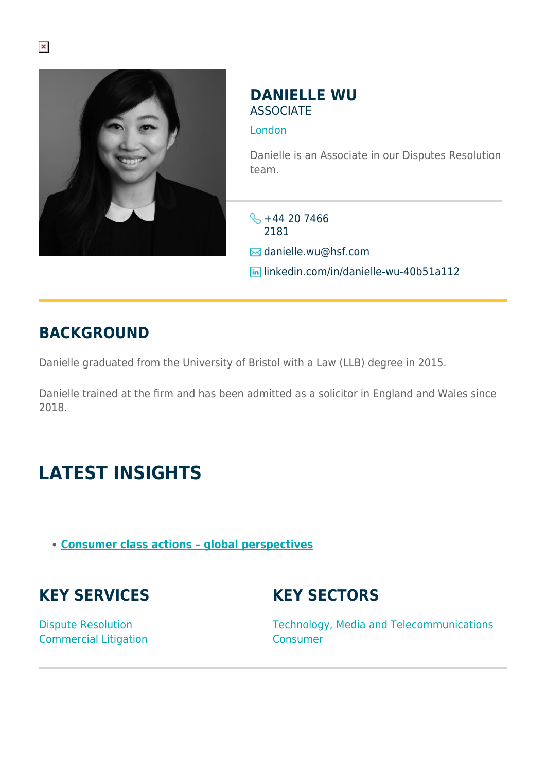

### **DANIELLE WU ASSOCIATE**

#### [London](https://www.herbertsmithfreehills.com/where-we-work/london)

Danielle is an Associate in our Disputes Resolution team.

 $\frac{1}{2}$  +44 20 7466 2181  $\boxtimes$  danielle.wu@hsf.com **In linkedin.com/in/danielle-wu-40b51a112** 

## **BACKGROUND**

Danielle graduated from the University of Bristol with a Law (LLB) degree in 2015.

Danielle trained at the firm and has been admitted as a solicitor in England and Wales since 2018.

# **LATEST INSIGHTS**

**[Consumer class actions – global perspectives](https://sites-herbertsmithfreehills.vuturevx.com/20/24346/landing-pages/future-of-consumer-march-2021.pdf)**

## **KEY SERVICES**

## **KEY SECTORS**

Dispute Resolution Commercial Litigation Technology, Media and Telecommunications Consumer